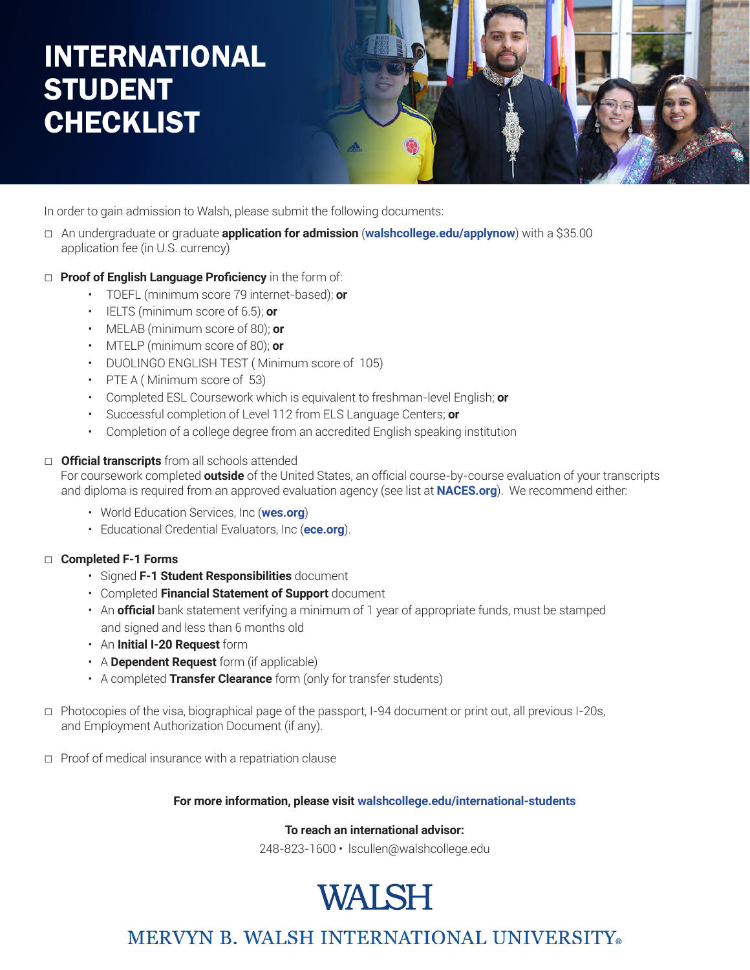### INTERNATIONAL **STUDENT CHECKLIST**



In order to gain admission to Walsh, please submit the following documents:

- *□* An undergraduate or graduate **application for admission** (**walshcollege.edu/applynow**) with a \$35.00 application fee (in U.S. currency)
- *□* **Proof of English Language Proficiency** in the form of:
	- TOEFL (minimum score 79 internet-based); **or**
	- IELTS (minimum score of 6.5); **or**
	- MELAB (minimum score of 80); **or**
	- MTELP (minimum score of 80); **or**
	- DUOLINGO ENGLISH TEST ( Minimum score of 105)
	- PTE A (Minimum score of 53)
	- Completed ESL Coursework which is equivalent to freshman-level English; **or**
	- Successful completion of Level 112 from ELS Language Centers; **or**
	- Completion of a college degree from an accredited English speaking institution

#### *□* **Official transcripts** from all schools attended

 For coursework completed **outside** of the United States, an official course-by-course evaluation of your transcripts and diploma is required from an approved evaluation agency (see list at **NACES.org**). We recommend either:

- World Education Services, Inc (**wes.org**)
- Educational Credential Evaluators, Inc (**ece.org**).

#### *□* **Completed F-1 Forms**

- Signed **F-1 Student Responsibilities** document
- Completed **Financial Statement of Support** document
- An **official** bank statement verifying a minimum of 1 year of appropriate funds, must be stamped and signed and less than 6 months old
- An **Initial I-20 Request** form
- A **Dependent Request** form (if applicable)
- A completed **Transfer Clearance** form (only for transfer students)
- *□* Photocopies of the visa, biographical page of the passport, I-94 document or print out, all previous I-20s, and Employment Authorization Document (if any).
- *□* Proof of medical insurance with a repatriation clause

#### **For more information, please visit walshcollege.edu/international-students**

#### **To reach an international advisor:**

248-823-1600 • lscullen@walshcollege.edu

### **WALSH**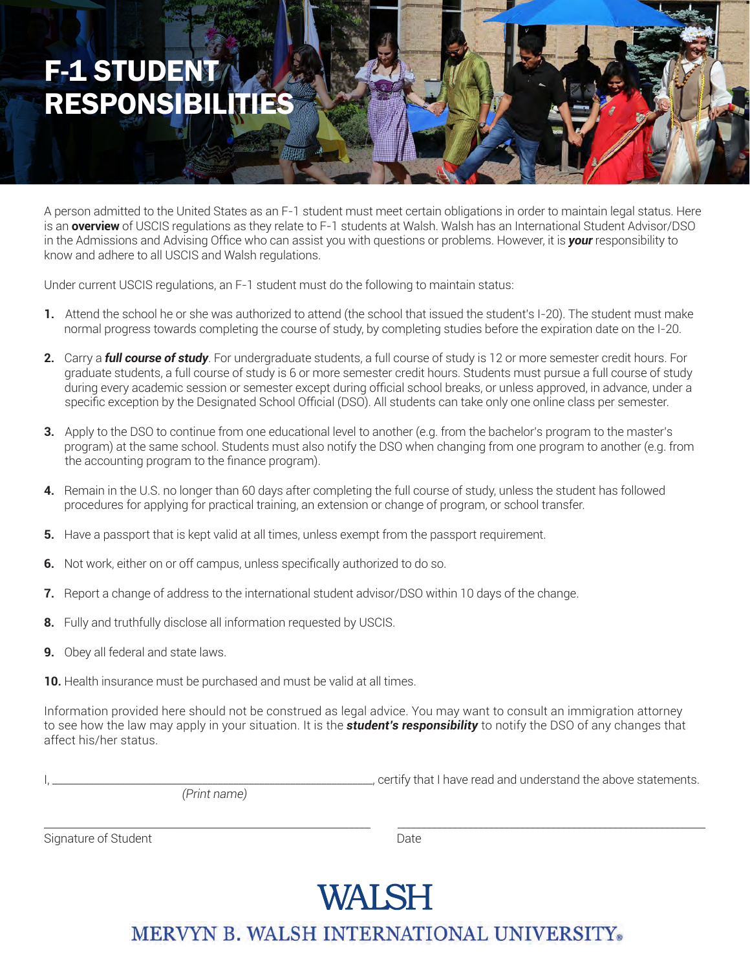### F-1 STUDENT RESPONSIBILITIES

A person admitted to the United States as an F-1 student must meet certain obligations in order to maintain legal status. Here is an **overview** of USCIS regulations as they relate to F-1 students at Walsh. Walsh has an International Student Advisor/DSO in the Admissions and Advising Office who can assist you with questions or problems. However, it is *your* responsibility to know and adhere to all USCIS and Walsh regulations.

Under current USCIS regulations, an F-1 student must do the following to maintain status:

- **1.** Attend the school he or she was authorized to attend (the school that issued the student's I-20). The student must make normal progress towards completing the course of study, by completing studies before the expiration date on the I-20.
- **2.** Carry a *full course of study*. For undergraduate students, a full course of study is 12 or more semester credit hours. For graduate students, a full course of study is 6 or more semester credit hours. Students must pursue a full course of study during every academic session or semester except during official school breaks, or unless approved, in advance, under a specific exception by the Designated School Official (DSO). All students can take only one online class per semester.
- **3.** Apply to the DSO to continue from one educational level to another (e.g. from the bachelor's program to the master's program) at the same school. Students must also notify the DSO when changing from one program to another (e.g. from the accounting program to the finance program).
- **4.** Remain in the U.S. no longer than 60 days after completing the full course of study, unless the student has followed procedures for applying for practical training, an extension or change of program, or school transfer.
- **5.** Have a passport that is kept valid at all times, unless exempt from the passport requirement.
- **6.** Not work, either on or off campus, unless specifically authorized to do so.
- **7.** Report a change of address to the international student advisor/DSO within 10 days of the change.
- **8.** Fully and truthfully disclose all information requested by USCIS.
- **9.** Obey all federal and state laws.
- **10.** Health insurance must be purchased and must be valid at all times.

Information provided here should not be construed as legal advice. You may want to consult an immigration attorney to see how the law may apply in your situation. It is the *student's responsibility* to notify the DSO of any changes that affect his/her status.

*(Print name)*

L, certify that I have read and understand the above statements.

\_\_\_\_\_\_\_\_\_\_\_\_\_\_\_\_\_\_\_\_\_\_\_\_\_\_\_\_\_\_\_\_\_\_\_\_\_\_\_\_\_\_\_\_\_\_\_\_\_\_\_\_\_\_\_\_\_\_\_\_\_\_\_\_\_\_\_\_\_\_\_\_\_\_\_\_\_\_\_\_\_\_\_\_\_\_\_\_\_\_\_\_\_\_\_\_\_\_\_\_\_\_\_\_\_\_\_\_\_\_\_\_\_\_\_\_\_\_\_\_\_\_\_\_\_\_\_\_ Signature of Student **Date** 

# WALSH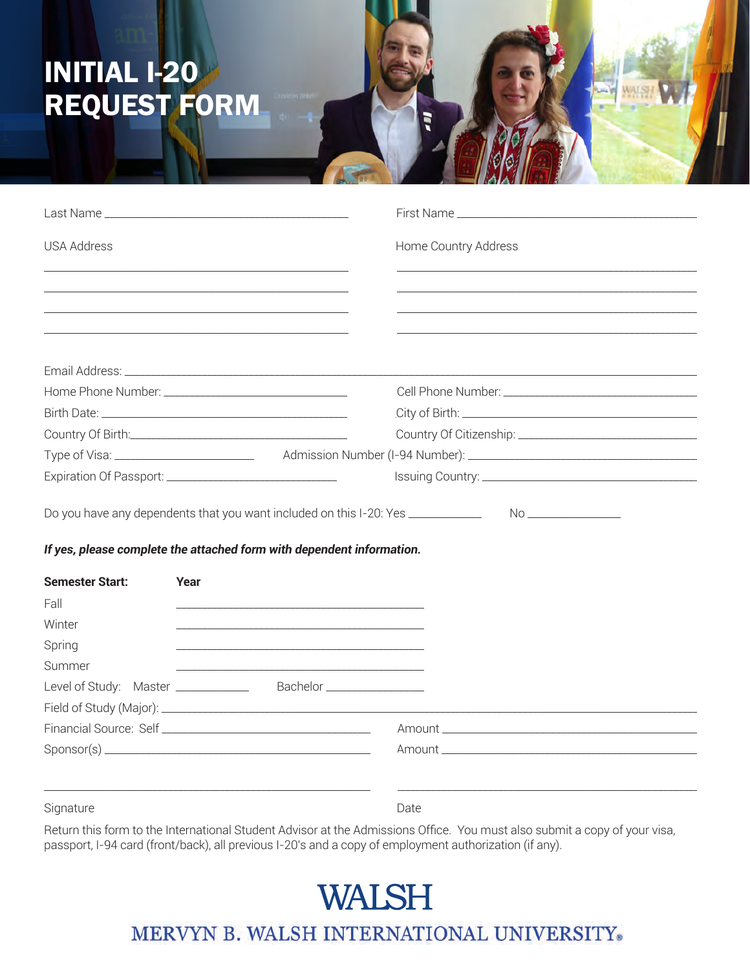## **INITIAL I-20** REQUEST FORM

| Last Name and the contract of the contract of the contract of the contract of the contract of the contract of    |                                                                                                                      |                                                                                                                       |  |
|------------------------------------------------------------------------------------------------------------------|----------------------------------------------------------------------------------------------------------------------|-----------------------------------------------------------------------------------------------------------------------|--|
| <b>USA Address</b>                                                                                               |                                                                                                                      | Home Country Address                                                                                                  |  |
|                                                                                                                  |                                                                                                                      |                                                                                                                       |  |
| and the control of the control of the control of the control of the control of the control of the control of the |                                                                                                                      | <u> 2000 - Jan James James Barnett, amerikan basar dan berasal dalam pengaran basar dalam pengaran basar dalam pe</u> |  |
|                                                                                                                  |                                                                                                                      |                                                                                                                       |  |
|                                                                                                                  |                                                                                                                      |                                                                                                                       |  |
|                                                                                                                  |                                                                                                                      |                                                                                                                       |  |
|                                                                                                                  |                                                                                                                      |                                                                                                                       |  |
|                                                                                                                  |                                                                                                                      |                                                                                                                       |  |
| Expiration Of Passport: _________________________________                                                        |                                                                                                                      |                                                                                                                       |  |
| If yes, please complete the attached form with dependent information.                                            |                                                                                                                      |                                                                                                                       |  |
| <b>Semester Start:</b><br>Year                                                                                   |                                                                                                                      |                                                                                                                       |  |
| Fall                                                                                                             |                                                                                                                      |                                                                                                                       |  |
| Winter                                                                                                           |                                                                                                                      |                                                                                                                       |  |
| Spring                                                                                                           |                                                                                                                      |                                                                                                                       |  |
| Summer                                                                                                           | <u> 1989 - Johann John Stone, mars eta bat eta bat eta bat eta bat ez arte eta bat ez arte eta bat ez arte eta b</u> |                                                                                                                       |  |
| Level of Study: Master _______________ Bachelor _______________                                                  |                                                                                                                      |                                                                                                                       |  |
|                                                                                                                  |                                                                                                                      |                                                                                                                       |  |
|                                                                                                                  |                                                                                                                      |                                                                                                                       |  |
|                                                                                                                  |                                                                                                                      |                                                                                                                       |  |
| Signature                                                                                                        |                                                                                                                      | Date                                                                                                                  |  |

Return this form to the International Student Advisor at the Admissions Office. You must also submit a copy of your visa, passport, I-94 card (front/back), all previous I-20's and a copy of employment authorization (if any).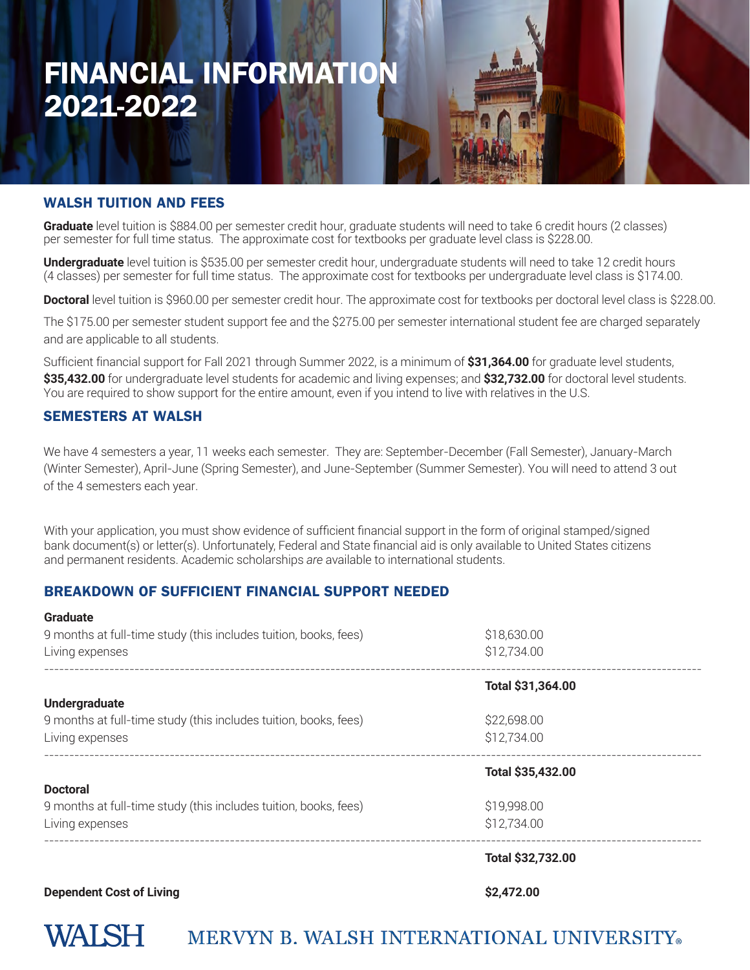### FINANCIAL INFORMATION 2021-2022

#### WALSH TUITION AND FEES

**Graduate** level tuition is \$884.00 per semester credit hour, graduate students will need to take 6 credit hours (2 classes) per semester for full time status. The approximate cost for textbooks per graduate level class is \$228.00.

**Undergraduate** level tuition is \$535.00 per semester credit hour, undergraduate students will need to take 12 credit hours (4 classes) per semester for full time status. The approximate cost for textbooks per undergraduate level class is \$174.00.

**Doctoral** level tuition is \$960.00 per semester credit hour. The approximate cost for textbooks per doctoral level class is \$228.00.

The \$175.00 per semester student support fee and the \$275.00 per semester international student fee are charged separately and are applicable to all students.

Sufficient financial support for Fall 2021 through Summer 2022, is a minimum of **\$31,364.00** for graduate level students, **\$35,432.00** for undergraduate level students for academic and living expenses; and **\$32,732.00** for doctoral level students. You are required to show support for the entire amount, even if you intend to live with relatives in the U.S.

#### SEMESTERS AT WALSH

We have 4 semesters a year, 11 weeks each semester. They are: September-December (Fall Semester), January-March (Winter Semester), April-June (Spring Semester), and June-September (Summer Semester). You will need to attend 3 out of the 4 semesters each year.

With your application, you must show evidence of sufficient financial support in the form of original stamped/signed bank document(s) or letter(s). Unfortunately, Federal and State financial aid is only available to United States citizens and permanent residents. Academic scholarships *are* available to international students.

#### BREAKDOWN OF SUFFICIENT FINANCIAL SUPPORT NEEDED

| <b>Graduate</b>                                                  |                   |  |
|------------------------------------------------------------------|-------------------|--|
| 9 months at full-time study (this includes tuition, books, fees) | \$18,630.00       |  |
| Living expenses                                                  | \$12,734.00       |  |
|                                                                  | Total \$31,364.00 |  |
| <b>Undergraduate</b>                                             |                   |  |
| 9 months at full-time study (this includes tuition, books, fees) | \$22,698.00       |  |
| Living expenses                                                  | \$12,734.00       |  |
|                                                                  | Total \$35,432.00 |  |
| <b>Doctoral</b>                                                  |                   |  |
| 9 months at full-time study (this includes tuition, books, fees) | \$19,998.00       |  |
| Living expenses                                                  | \$12,734.00       |  |
|                                                                  | Total \$32,732.00 |  |

#### **Dependent Cost of Living \$2,472.00**

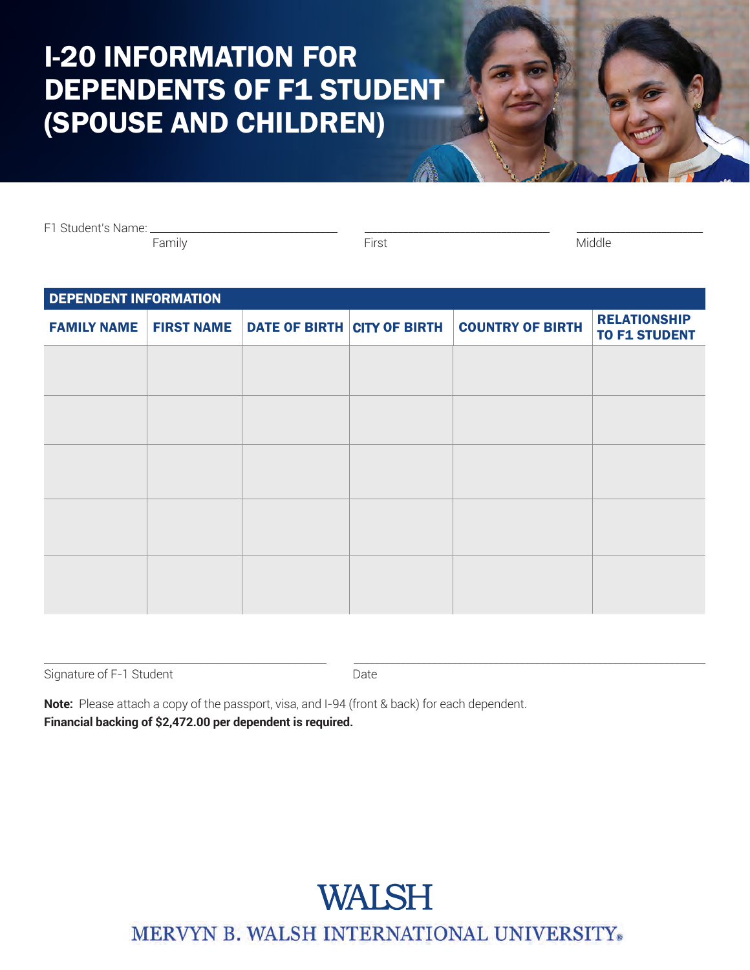### I-20 INFORMATION FOR DEPENDENTS OF F1 STUDENT (SPOUSE AND CHILDREN)

F1 Student's Name: \_\_\_\_\_\_\_\_\_\_\_\_\_\_\_\_\_\_\_\_\_\_\_\_\_\_\_\_\_\_\_\_\_\_\_\_\_\_\_\_\_\_\_\_\_\_\_\_\_\_\_\_\_\_\_\_\_\_\_\_\_\_\_\_\_\_\_\_\_\_\_\_\_\_\_\_\_\_\_\_\_\_\_\_\_\_\_\_\_\_\_\_\_\_\_\_\_\_\_\_\_\_\_\_\_\_\_

Family First Middle

| <b>DEPENDENT INFORMATION</b> |  |  |                         |                                                               |  |
|------------------------------|--|--|-------------------------|---------------------------------------------------------------|--|
|                              |  |  | <b>COUNTRY OF BIRTH</b> | <b>RELATIONSHIP</b><br><b>TO F1 STUDENT</b>                   |  |
|                              |  |  |                         |                                                               |  |
|                              |  |  |                         |                                                               |  |
|                              |  |  |                         |                                                               |  |
|                              |  |  |                         |                                                               |  |
|                              |  |  |                         |                                                               |  |
|                              |  |  |                         |                                                               |  |
|                              |  |  |                         |                                                               |  |
|                              |  |  |                         |                                                               |  |
|                              |  |  |                         |                                                               |  |
|                              |  |  |                         |                                                               |  |
|                              |  |  |                         | <b>FAMILY NAME   FIRST NAME   DATE OF BIRTH CITY OF BIRTH</b> |  |

 $\Box$  . The contribution of the contribution of the contribution of the contribution of the contribution of the contribution of the contribution of the contribution of the contribution of the contribution of the contributi Signature of F-1 Student **Date** Date

**Note:** Please attach a copy of the passport, visa, and I-94 (front & back) for each dependent. **Financial backing of \$2,472.00 per dependent is required.**

### **WALSH**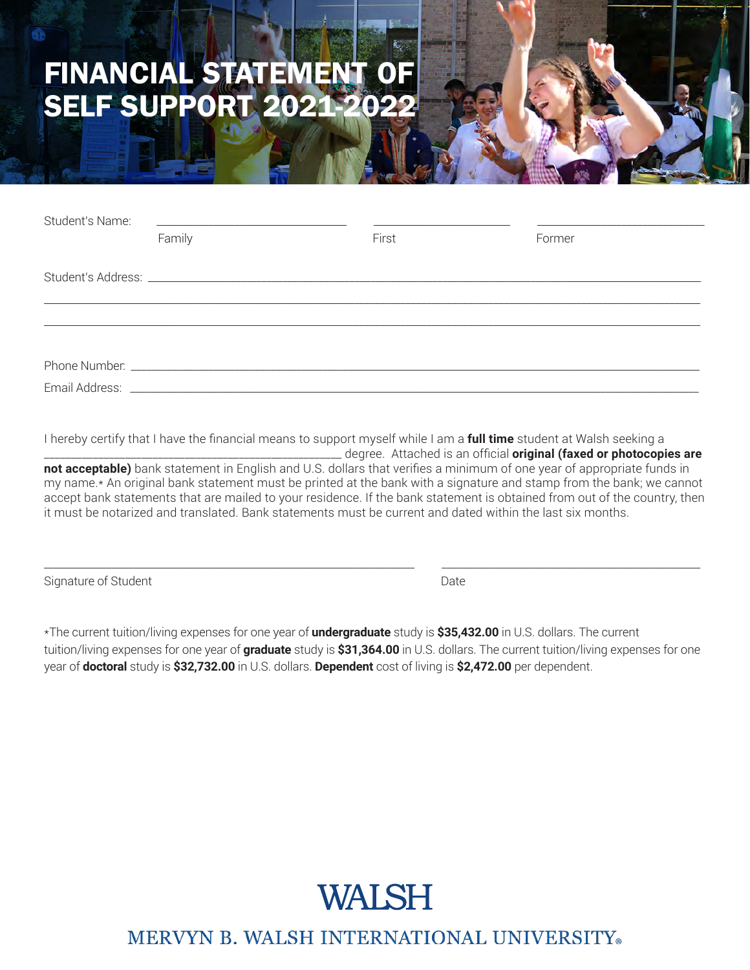### FINANCIAL STATEMENT OF SELF SUPPORT 2021-2022

| Student's Name: | <u> 1980 - John Stein, Amerikaansk politiker (* 1950)</u> |       |        |
|-----------------|-----------------------------------------------------------|-------|--------|
|                 | Family                                                    | First | Former |
|                 |                                                           |       |        |
|                 |                                                           |       |        |
|                 |                                                           |       |        |
|                 |                                                           |       |        |
|                 |                                                           |       |        |

I hereby certify that I have the financial means to support myself while I am a **full time** student at Walsh seeking a \_\_\_\_\_\_\_\_\_\_\_\_\_\_\_\_\_\_\_\_\_\_\_\_\_\_\_\_\_\_\_\_\_\_\_\_\_\_\_\_\_\_\_\_\_\_\_\_\_\_\_\_\_\_\_ degree. Attached is an official **original (faxed or photocopies are** 

**not acceptable)** bank statement in English and U.S. dollars that verifies a minimum of one year of appropriate funds in my name.\* An original bank statement must be printed at the bank with a signature and stamp from the bank; we cannot accept bank statements that are mailed to your residence. If the bank statement is obtained from out of the country, then it must be notarized and translated. Bank statements must be current and dated within the last six months.

\_\_\_\_\_\_\_\_\_\_\_\_\_\_\_\_\_\_\_\_\_\_\_\_\_\_\_\_\_\_\_\_\_\_\_\_\_\_\_\_\_\_\_\_\_\_\_\_\_\_\_\_\_\_\_\_\_\_\_\_\_\_\_\_\_\_\_\_\_\_\_\_\_\_\_\_\_\_\_\_\_\_\_\_\_\_\_\_\_\_\_\_\_\_\_\_\_\_\_\_\_\_\_\_\_\_\_\_\_\_\_\_\_\_\_\_\_\_\_\_\_\_\_\_\_\_\_

Signature of Student Date Date Date

\*The current tuition/living expenses for one year of **undergraduate** study is **\$35,432.00** in U.S. dollars. The current tuition/living expenses for one year of **graduate** study is **\$31,364.00** in U.S. dollars. The current tuition/living expenses for one year of **doctoral** study is **\$32,732.00** in U.S. dollars. **Dependent** cost of living is **\$2,472.00** per dependent.

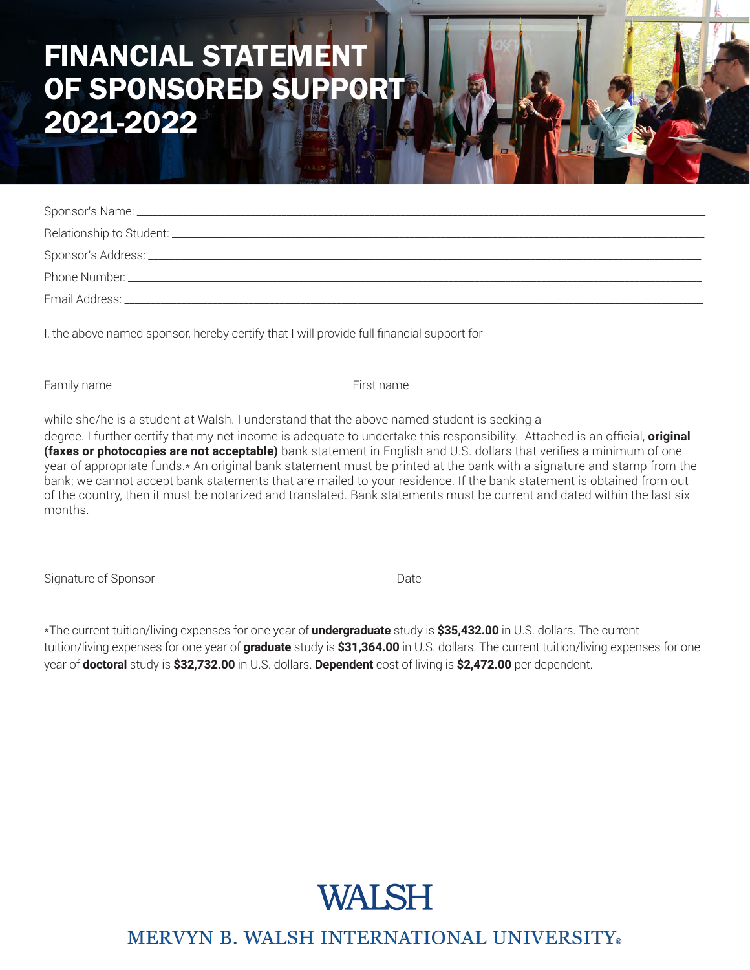### FINANCIAL STATEMENT OF SPONSORED SUPPORT 2021-2022

I, the above named sponsor, hereby certify that I will provide full financial support for

Family name **First name** First name

 $\Box$  . The contribution of the contribution of the contribution of the contribution of the contribution of the contribution of the contribution of the contribution of the contribution of the contribution of the contributi

while she/he is a student at Walsh. I understand that the above named student is seeking a

degree. I further certify that my net income is adequate to undertake this responsibility. Attached is an official, **original (faxes or photocopies are not acceptable)** bank statement in English and U.S. dollars that verifies a minimum of one year of appropriate funds.\* An original bank statement must be printed at the bank with a signature and stamp from the bank; we cannot accept bank statements that are mailed to your residence. If the bank statement is obtained from out of the country, then it must be notarized and translated. Bank statements must be current and dated within the last six months.

Signature of Sponsor **Date** Date **Date** 

\*The current tuition/living expenses for one year of **undergraduate** study is **\$35,432.00** in U.S. dollars. The current tuition/living expenses for one year of **graduate** study is **\$31,364.00** in U.S. dollars. The current tuition/living expenses for one year of **doctoral** study is **\$32,732.00** in U.S. dollars. **Dependent** cost of living is **\$2,472.00** per dependent.

\_\_\_\_\_\_\_\_\_\_\_\_\_\_\_\_\_\_\_\_\_\_\_\_\_\_\_\_\_\_\_\_\_\_\_\_\_\_\_\_\_\_\_\_\_\_\_\_\_\_\_\_\_\_\_\_\_\_\_\_\_\_\_\_\_\_\_\_\_\_\_\_\_\_\_\_\_\_\_\_\_\_\_\_\_\_\_\_\_\_\_\_\_\_\_\_\_\_\_\_\_\_\_\_\_\_\_\_\_\_\_\_\_\_\_\_\_\_\_\_\_\_\_\_\_\_\_\_

## **WALSH**